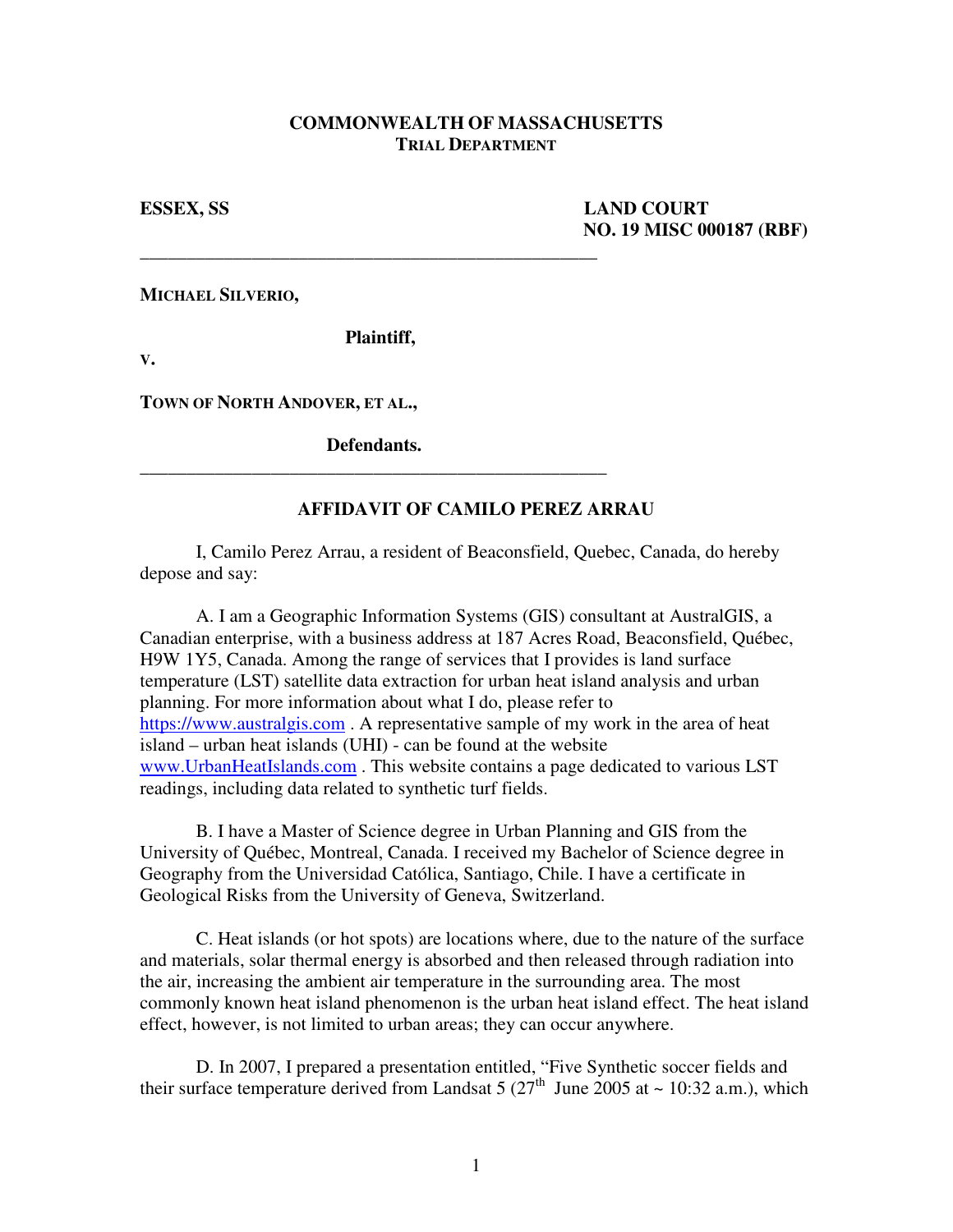## **COMMONWEALTH OF MASSACHUSETTS TRIAL DEPARTMENT**

**ESSEX, SS LAND COURT NO. 19 MISC 000187 (RBF)** 

**MICHAEL SILVERIO,** 

 **Plaintiff,** 

\_\_\_\_\_\_\_\_\_\_\_\_\_\_\_\_\_\_\_\_\_\_\_\_\_\_\_\_\_\_\_\_\_\_\_\_\_\_\_\_\_\_\_\_\_\_\_\_\_

**V.**

**TOWN OF NORTH ANDOVER, ET AL.,** 

 **Defendants.** \_\_\_\_\_\_\_\_\_\_\_\_\_\_\_\_\_\_\_\_\_\_\_\_\_\_\_\_\_\_\_\_\_\_\_\_\_\_\_\_\_\_\_\_\_\_\_\_\_\_

## **AFFIDAVIT OF CAMILO PEREZ ARRAU**

 I, Camilo Perez Arrau, a resident of Beaconsfield, Quebec, Canada, do hereby depose and say:

 A. I am a Geographic Information Systems (GIS) consultant at AustralGIS, a Canadian enterprise, with a business address at 187 Acres Road, Beaconsfield, Québec, H9W 1Y5, Canada. Among the range of services that I provides is land surface temperature (LST) satellite data extraction for urban heat island analysis and urban planning. For more information about what I do, please refer to https://www.australgis.com . A representative sample of my work in the area of heat island – urban heat islands (UHI) - can be found at the website www.UrbanHeatIslands.com . This website contains a page dedicated to various LST readings, including data related to synthetic turf fields.

 B. I have a Master of Science degree in Urban Planning and GIS from the University of Québec, Montreal, Canada. I received my Bachelor of Science degree in Geography from the Universidad Católica, Santiago, Chile. I have a certificate in Geological Risks from the University of Geneva, Switzerland.

 C. Heat islands (or hot spots) are locations where, due to the nature of the surface and materials, solar thermal energy is absorbed and then released through radiation into the air, increasing the ambient air temperature in the surrounding area. The most commonly known heat island phenomenon is the urban heat island effect. The heat island effect, however, is not limited to urban areas; they can occur anywhere.

 D. In 2007, I prepared a presentation entitled, "Five Synthetic soccer fields and their surface temperature derived from Landsat 5  $(27<sup>th</sup>$  June 2005 at ~ 10:32 a.m.), which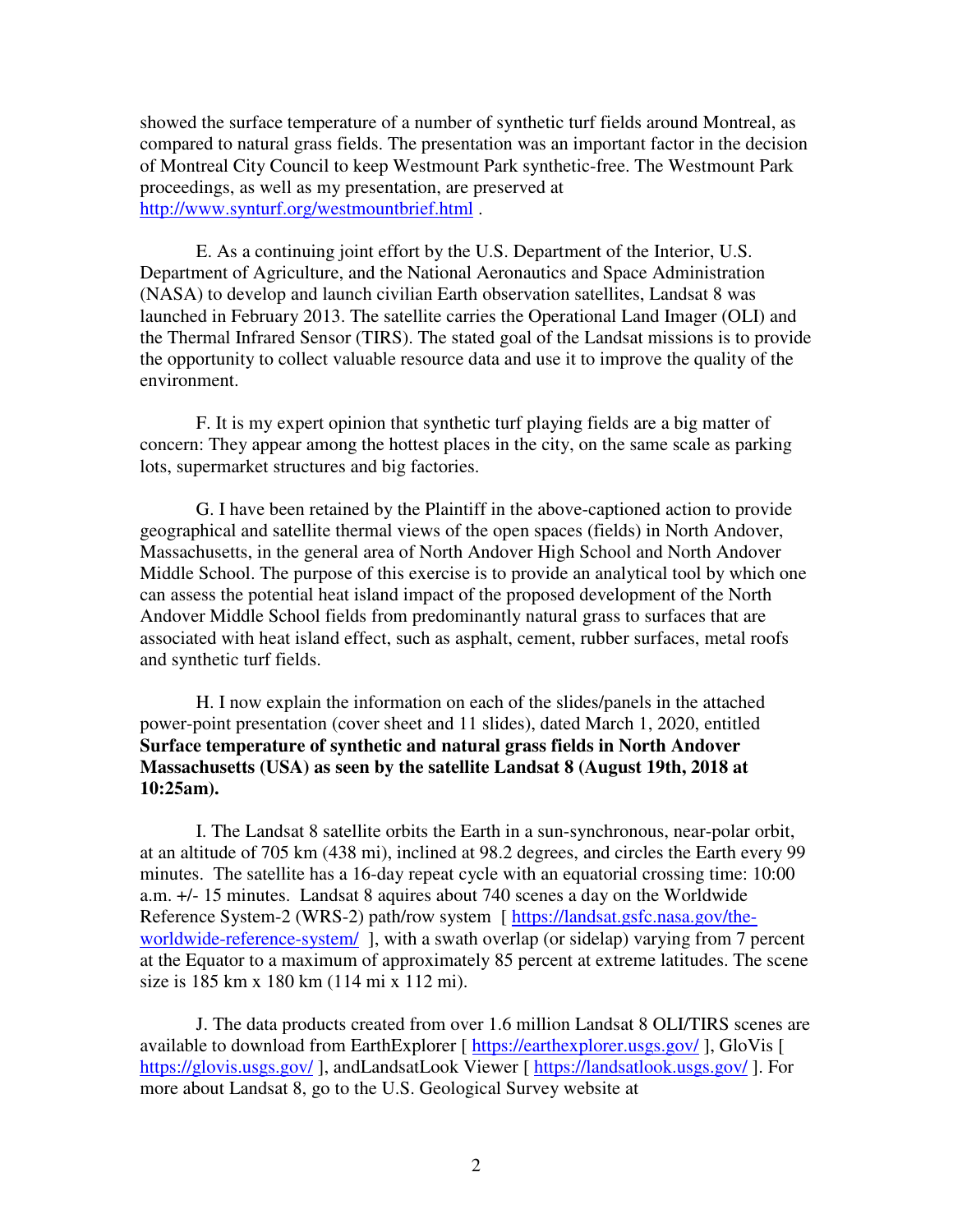showed the surface temperature of a number of synthetic turf fields around Montreal, as compared to natural grass fields. The presentation was an important factor in the decision of Montreal City Council to keep Westmount Park synthetic-free. The Westmount Park proceedings, as well as my presentation, are preserved at http://www.synturf.org/westmountbrief.html .

 E. As a continuing joint effort by the U.S. Department of the Interior, U.S. Department of Agriculture, and the National Aeronautics and Space Administration (NASA) to develop and launch civilian Earth observation satellites, Landsat 8 was launched in February 2013. The satellite carries the Operational Land Imager (OLI) and the Thermal Infrared Sensor (TIRS). The stated goal of the Landsat missions is to provide the opportunity to collect valuable resource data and use it to improve the quality of the environment.

 F. It is my expert opinion that synthetic turf playing fields are a big matter of concern: They appear among the hottest places in the city, on the same scale as parking lots, supermarket structures and big factories.

 G. I have been retained by the Plaintiff in the above-captioned action to provide geographical and satellite thermal views of the open spaces (fields) in North Andover, Massachusetts, in the general area of North Andover High School and North Andover Middle School. The purpose of this exercise is to provide an analytical tool by which one can assess the potential heat island impact of the proposed development of the North Andover Middle School fields from predominantly natural grass to surfaces that are associated with heat island effect, such as asphalt, cement, rubber surfaces, metal roofs and synthetic turf fields.

 H. I now explain the information on each of the slides/panels in the attached power-point presentation (cover sheet and 11 slides), dated March 1, 2020, entitled **Surface temperature of synthetic and natural grass fields in North Andover Massachusetts (USA) as seen by the satellite Landsat 8 (August 19th, 2018 at 10:25am).** 

 I. The Landsat 8 satellite orbits the Earth in a sun-synchronous, near-polar orbit, at an altitude of 705 km (438 mi), inclined at 98.2 degrees, and circles the Earth every 99 minutes. The satellite has a 16-day repeat cycle with an equatorial crossing time: 10:00 a.m. +/- 15 minutes. Landsat 8 aquires about 740 scenes a day on the Worldwide Reference System-2 (WRS-2) path/row system [ https://landsat.gsfc.nasa.gov/theworldwide-reference-system/ ], with a swath overlap (or sidelap) varying from 7 percent at the Equator to a maximum of approximately 85 percent at extreme latitudes. The scene size is 185 km x 180 km (114 mi x 112 mi).

 J. The data products created from over 1.6 million Landsat 8 OLI/TIRS scenes are available to download from EarthExplorer [ https://earthexplorer.usgs.gov/ ], GloVis [ https://glovis.usgs.gov/], andLandsatLook Viewer [ https://landsatlook.usgs.gov/]. For more about Landsat 8, go to the U.S. Geological Survey website at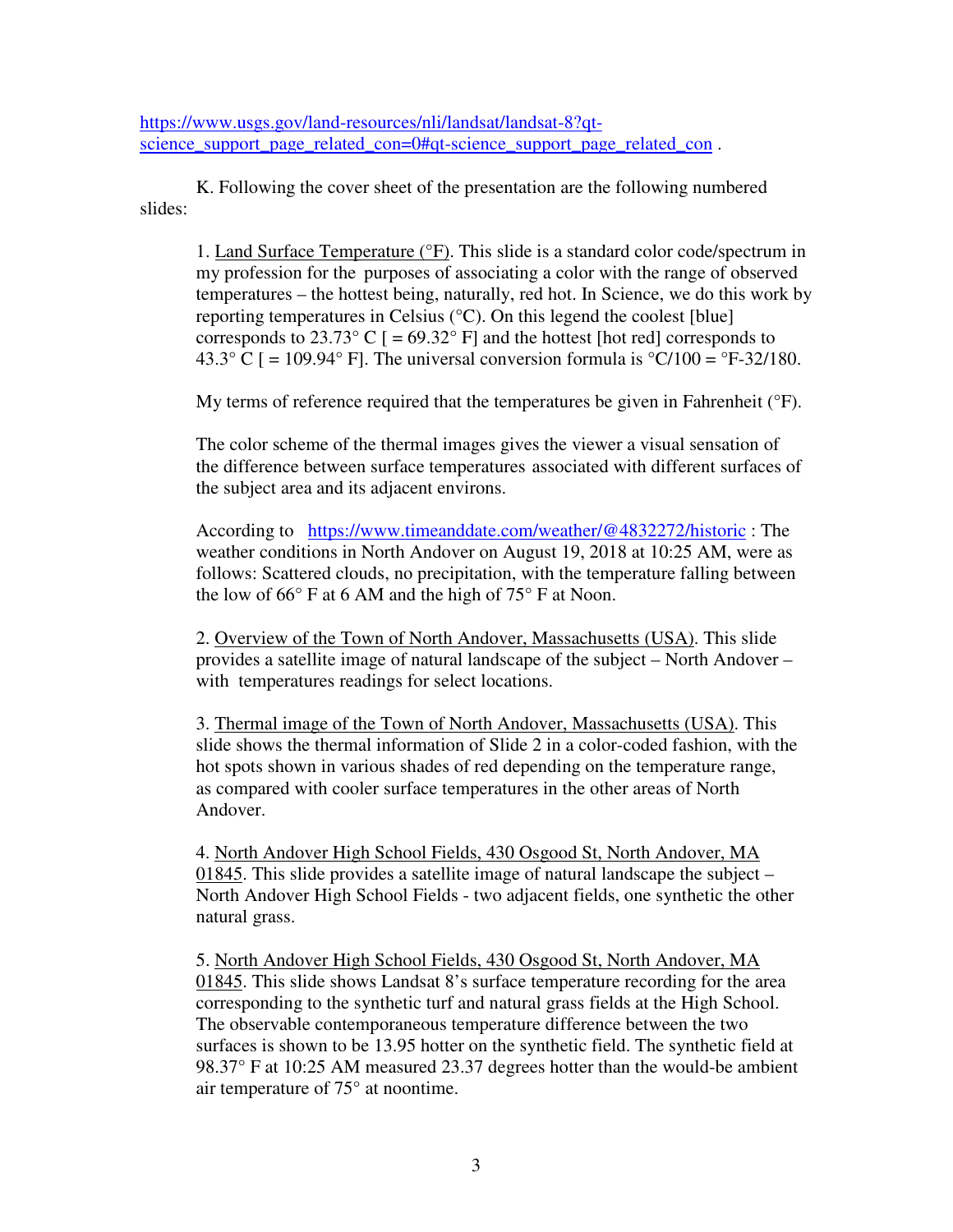https://www.usgs.gov/land-resources/nli/landsat/landsat-8?qtscience support page related con=0#qt-science support page related con.

 K. Following the cover sheet of the presentation are the following numbered slides:

 1. Land Surface Temperature (°F). This slide is a standard color code/spectrum in my profession for the purposes of associating a color with the range of observed temperatures – the hottest being, naturally, red hot. In Science, we do this work by reporting temperatures in Celsius (°C). On this legend the coolest [blue] corresponds to  $23.73^{\circ}$  C  $[$  =  $69.32^{\circ}$  F] and the hottest [hot red] corresponds to 43.3° C  $[$  = 109.94° F]. The universal conversion formula is °C/100 = °F-32/180.

My terms of reference required that the temperatures be given in Fahrenheit (°F).

 The color scheme of the thermal images gives the viewer a visual sensation of the difference between surface temperatures associated with different surfaces of the subject area and its adjacent environs.

 According to https://www.timeanddate.com/weather/@4832272/historic : The weather conditions in North Andover on August 19, 2018 at 10:25 AM, were as follows: Scattered clouds, no precipitation, with the temperature falling between the low of  $66^{\circ}$  F at 6 AM and the high of  $75^{\circ}$  F at Noon.

 2. Overview of the Town of North Andover, Massachusetts (USA). This slide provides a satellite image of natural landscape of the subject – North Andover – with temperatures readings for select locations.

 3. Thermal image of the Town of North Andover, Massachusetts (USA). This slide shows the thermal information of Slide 2 in a color-coded fashion, with the hot spots shown in various shades of red depending on the temperature range, as compared with cooler surface temperatures in the other areas of North Andover.

 4. North Andover High School Fields, 430 Osgood St, North Andover, MA 01845. This slide provides a satellite image of natural landscape the subject – North Andover High School Fields - two adjacent fields, one synthetic the other natural grass.

 5. North Andover High School Fields, 430 Osgood St, North Andover, MA 01845. This slide shows Landsat 8's surface temperature recording for the area corresponding to the synthetic turf and natural grass fields at the High School. The observable contemporaneous temperature difference between the two surfaces is shown to be 13.95 hotter on the synthetic field. The synthetic field at 98.37° F at 10:25 AM measured 23.37 degrees hotter than the would-be ambient air temperature of 75° at noontime.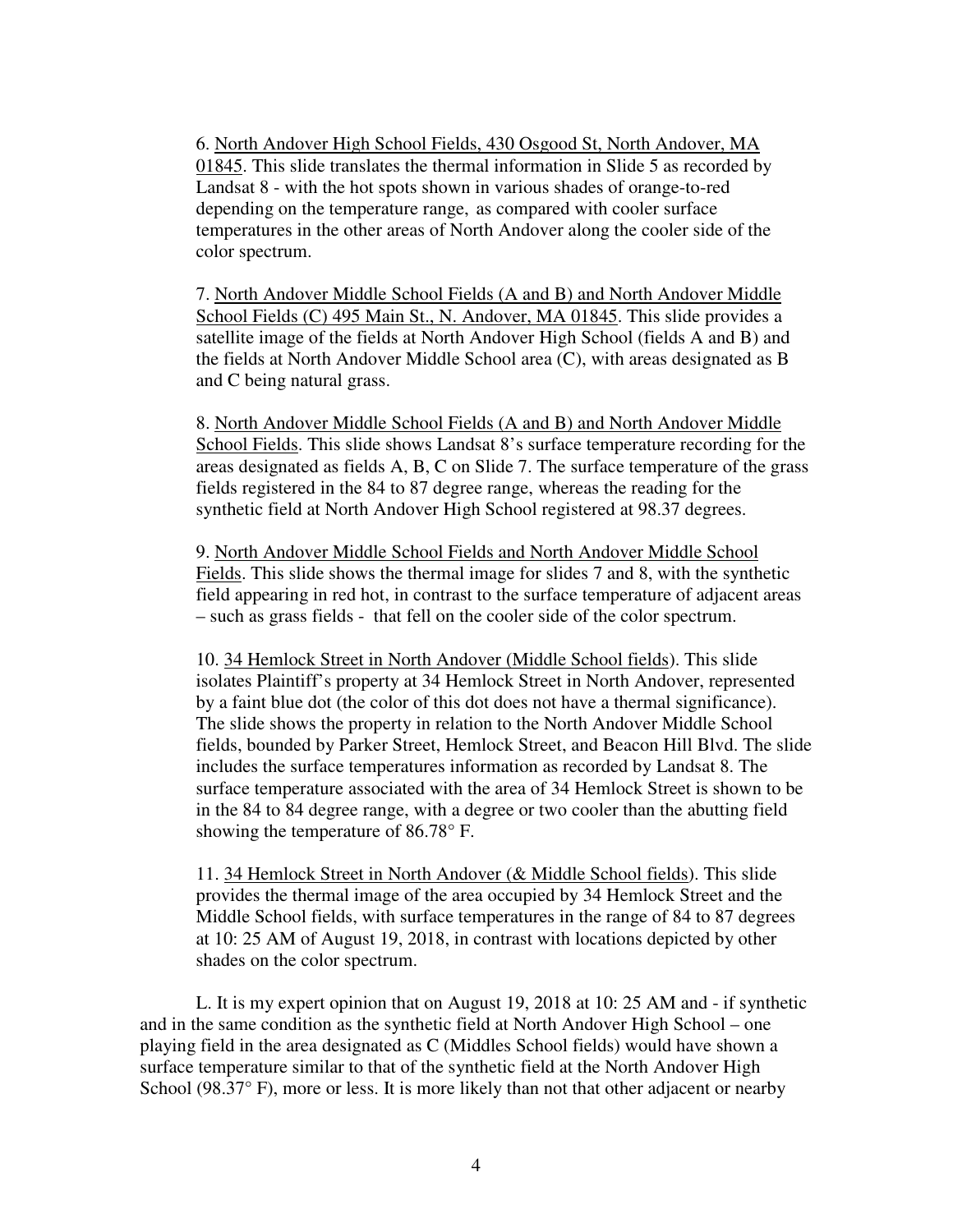6. North Andover High School Fields, 430 Osgood St, North Andover, MA 01845. This slide translates the thermal information in Slide 5 as recorded by Landsat 8 - with the hot spots shown in various shades of orange-to-red depending on the temperature range, as compared with cooler surface temperatures in the other areas of North Andover along the cooler side of the color spectrum.

 7. North Andover Middle School Fields (A and B) and North Andover Middle School Fields (C) 495 Main St., N. Andover, MA 01845. This slide provides a satellite image of the fields at North Andover High School (fields A and B) and the fields at North Andover Middle School area (C), with areas designated as B and C being natural grass.

 8. North Andover Middle School Fields (A and B) and North Andover Middle School Fields. This slide shows Landsat 8's surface temperature recording for the areas designated as fields A, B, C on Slide 7. The surface temperature of the grass fields registered in the 84 to 87 degree range, whereas the reading for the synthetic field at North Andover High School registered at 98.37 degrees.

 9. North Andover Middle School Fields and North Andover Middle School Fields. This slide shows the thermal image for slides 7 and 8, with the synthetic field appearing in red hot, in contrast to the surface temperature of adjacent areas – such as grass fields - that fell on the cooler side of the color spectrum.

 10. 34 Hemlock Street in North Andover (Middle School fields). This slide isolates Plaintiff's property at 34 Hemlock Street in North Andover, represented by a faint blue dot (the color of this dot does not have a thermal significance). The slide shows the property in relation to the North Andover Middle School fields, bounded by Parker Street, Hemlock Street, and Beacon Hill Blvd. The slide includes the surface temperatures information as recorded by Landsat 8. The surface temperature associated with the area of 34 Hemlock Street is shown to be in the 84 to 84 degree range, with a degree or two cooler than the abutting field showing the temperature of 86.78° F.

 11. 34 Hemlock Street in North Andover (& Middle School fields). This slide provides the thermal image of the area occupied by 34 Hemlock Street and the Middle School fields, with surface temperatures in the range of 84 to 87 degrees at 10: 25 AM of August 19, 2018, in contrast with locations depicted by other shades on the color spectrum.

 L. It is my expert opinion that on August 19, 2018 at 10: 25 AM and - if synthetic and in the same condition as the synthetic field at North Andover High School – one playing field in the area designated as C (Middles School fields) would have shown a surface temperature similar to that of the synthetic field at the North Andover High School (98.37° F), more or less. It is more likely than not that other adjacent or nearby